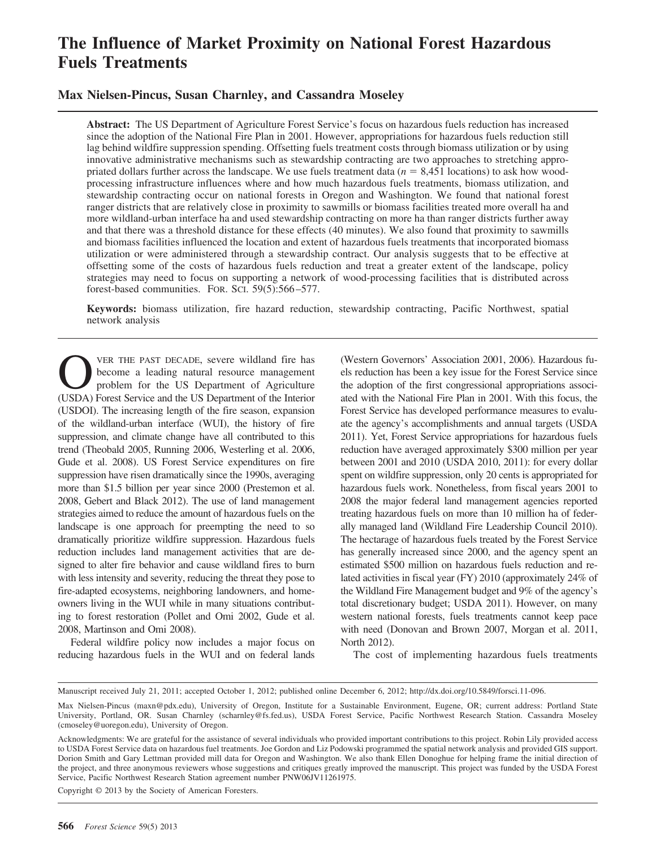# **The Influence of Market Proximity on National Forest Hazardous Fuels Treatments**

### **Max Nielsen-Pincus, Susan Charnley, and Cassandra Moseley**

**Abstract:** The US Department of Agriculture Forest Service's focus on hazardous fuels reduction has increased since the adoption of the National Fire Plan in 2001. However, appropriations for hazardous fuels reduction still lag behind wildfire suppression spending. Offsetting fuels treatment costs through biomass utilization or by using innovative administrative mechanisms such as stewardship contracting are two approaches to stretching appropriated dollars further across the landscape. We use fuels treatment data  $(n = 8,451$  locations) to ask how woodprocessing infrastructure influences where and how much hazardous fuels treatments, biomass utilization, and stewardship contracting occur on national forests in Oregon and Washington. We found that national forest ranger districts that are relatively close in proximity to sawmills or biomass facilities treated more overall ha and more wildland-urban interface ha and used stewardship contracting on more ha than ranger districts further away and that there was a threshold distance for these effects (40 minutes). We also found that proximity to sawmills and biomass facilities influenced the location and extent of hazardous fuels treatments that incorporated biomass utilization or were administered through a stewardship contract. Our analysis suggests that to be effective at offsetting some of the costs of hazardous fuels reduction and treat a greater extent of the landscape, policy strategies may need to focus on supporting a network of wood-processing facilities that is distributed across forest-based communities. FOR. SCI. 59(5):566 –577.

**Keywords:** biomass utilization, fire hazard reduction, stewardship contracting, Pacific Northwest, spatial network analysis

VER THE PAST DECADE, severe wildland fire has become a leading natural resource management problem for the US Department of Agriculture (USDA) Forest Service and the US Department of the Interior (USDOI). The increasing length of the fire season, expansion of the wildland-urban interface (WUI), the history of fire suppression, and climate change have all contributed to this trend (Theobald 2005, Running 2006, Westerling et al. 2006, Gude et al. 2008). US Forest Service expenditures on fire suppression have risen dramatically since the 1990s, averaging more than \$1.5 billion per year since 2000 (Prestemon et al. 2008, Gebert and Black 2012). The use of land management strategies aimed to reduce the amount of hazardous fuels on the landscape is one approach for preempting the need to so dramatically prioritize wildfire suppression. Hazardous fuels reduction includes land management activities that are designed to alter fire behavior and cause wildland fires to burn with less intensity and severity, reducing the threat they pose to fire-adapted ecosystems, neighboring landowners, and homeowners living in the WUI while in many situations contributing to forest restoration (Pollet and Omi 2002, Gude et al. 2008, Martinson and Omi 2008).

Federal wildfire policy now includes a major focus on reducing hazardous fuels in the WUI and on federal lands (Western Governors' Association 2001, 2006). Hazardous fuels reduction has been a key issue for the Forest Service since the adoption of the first congressional appropriations associated with the National Fire Plan in 2001. With this focus, the Forest Service has developed performance measures to evaluate the agency's accomplishments and annual targets (USDA 2011). Yet, Forest Service appropriations for hazardous fuels reduction have averaged approximately \$300 million per year between 2001 and 2010 (USDA 2010, 2011): for every dollar spent on wildfire suppression, only 20 cents is appropriated for hazardous fuels work. Nonetheless, from fiscal years 2001 to 2008 the major federal land management agencies reported treating hazardous fuels on more than 10 million ha of federally managed land (Wildland Fire Leadership Council 2010). The hectarage of hazardous fuels treated by the Forest Service has generally increased since 2000, and the agency spent an estimated \$500 million on hazardous fuels reduction and related activities in fiscal year (FY) 2010 (approximately 24% of the Wildland Fire Management budget and 9% of the agency's total discretionary budget; USDA 2011). However, on many western national forests, fuels treatments cannot keep pace with need (Donovan and Brown 2007, Morgan et al. 2011, North 2012).

The cost of implementing hazardous fuels treatments

Copyright © 2013 by the Society of American Foresters.

Manuscript received July 21, 2011; accepted October 1, 2012; published online December 6, 2012; http://dx.doi.org/10.5849/forsci.11-096.

Max Nielsen-Pincus (maxn@pdx.edu), University of Oregon, Institute for a Sustainable Environment, Eugene, OR; current address: Portland State University, Portland, OR. Susan Charnley (scharnley@fs.fed.us), USDA Forest Service, Pacific Northwest Research Station. Cassandra Moseley (cmoseley@uoregon.edu), University of Oregon.

Acknowledgments: We are grateful for the assistance of several individuals who provided important contributions to this project. Robin Lily provided access to USDA Forest Service data on hazardous fuel treatments. Joe Gordon and Liz Podowski programmed the spatial network analysis and provided GIS support. Dorion Smith and Gary Lettman provided mill data for Oregon and Washington. We also thank Ellen Donoghue for helping frame the initial direction of the project, and three anonymous reviewers whose suggestions and critiques greatly improved the manuscript. This project was funded by the USDA Forest Service, Pacific Northwest Research Station agreement number PNW06JV11261975.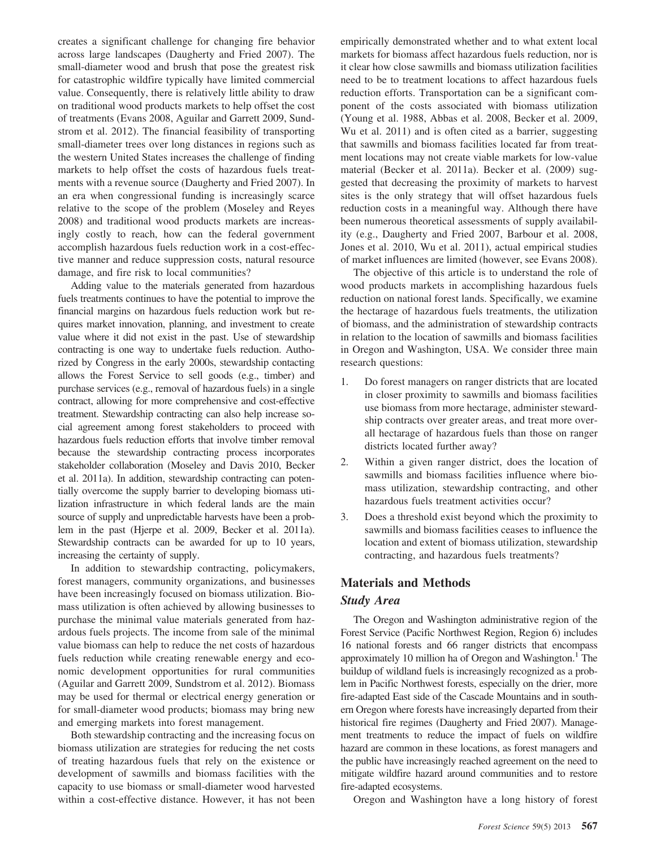creates a significant challenge for changing fire behavior across large landscapes (Daugherty and Fried 2007). The small-diameter wood and brush that pose the greatest risk for catastrophic wildfire typically have limited commercial value. Consequently, there is relatively little ability to draw on traditional wood products markets to help offset the cost of treatments (Evans 2008, Aguilar and Garrett 2009, Sundstrom et al. 2012). The financial feasibility of transporting small-diameter trees over long distances in regions such as the western United States increases the challenge of finding markets to help offset the costs of hazardous fuels treatments with a revenue source (Daugherty and Fried 2007). In an era when congressional funding is increasingly scarce relative to the scope of the problem (Moseley and Reyes 2008) and traditional wood products markets are increasingly costly to reach, how can the federal government accomplish hazardous fuels reduction work in a cost-effective manner and reduce suppression costs, natural resource damage, and fire risk to local communities?

Adding value to the materials generated from hazardous fuels treatments continues to have the potential to improve the financial margins on hazardous fuels reduction work but requires market innovation, planning, and investment to create value where it did not exist in the past. Use of stewardship contracting is one way to undertake fuels reduction. Authorized by Congress in the early 2000s, stewardship contacting allows the Forest Service to sell goods (e.g., timber) and purchase services (e.g., removal of hazardous fuels) in a single contract, allowing for more comprehensive and cost-effective treatment. Stewardship contracting can also help increase social agreement among forest stakeholders to proceed with hazardous fuels reduction efforts that involve timber removal because the stewardship contracting process incorporates stakeholder collaboration (Moseley and Davis 2010, Becker et al. 2011a). In addition, stewardship contracting can potentially overcome the supply barrier to developing biomass utilization infrastructure in which federal lands are the main source of supply and unpredictable harvests have been a problem in the past (Hjerpe et al. 2009, Becker et al. 2011a). Stewardship contracts can be awarded for up to 10 years, increasing the certainty of supply.

In addition to stewardship contracting, policymakers, forest managers, community organizations, and businesses have been increasingly focused on biomass utilization. Biomass utilization is often achieved by allowing businesses to purchase the minimal value materials generated from hazardous fuels projects. The income from sale of the minimal value biomass can help to reduce the net costs of hazardous fuels reduction while creating renewable energy and economic development opportunities for rural communities (Aguilar and Garrett 2009, Sundstrom et al. 2012). Biomass may be used for thermal or electrical energy generation or for small-diameter wood products; biomass may bring new and emerging markets into forest management.

Both stewardship contracting and the increasing focus on biomass utilization are strategies for reducing the net costs of treating hazardous fuels that rely on the existence or development of sawmills and biomass facilities with the capacity to use biomass or small-diameter wood harvested within a cost-effective distance. However, it has not been empirically demonstrated whether and to what extent local markets for biomass affect hazardous fuels reduction, nor is it clear how close sawmills and biomass utilization facilities need to be to treatment locations to affect hazardous fuels reduction efforts. Transportation can be a significant component of the costs associated with biomass utilization (Young et al. 1988, Abbas et al. 2008, Becker et al. 2009, Wu et al. 2011) and is often cited as a barrier, suggesting that sawmills and biomass facilities located far from treatment locations may not create viable markets for low-value material (Becker et al. 2011a). Becker et al. (2009) suggested that decreasing the proximity of markets to harvest sites is the only strategy that will offset hazardous fuels reduction costs in a meaningful way. Although there have been numerous theoretical assessments of supply availability (e.g., Daugherty and Fried 2007, Barbour et al. 2008, Jones et al. 2010, Wu et al. 2011), actual empirical studies of market influences are limited (however, see Evans 2008).

The objective of this article is to understand the role of wood products markets in accomplishing hazardous fuels reduction on national forest lands. Specifically, we examine the hectarage of hazardous fuels treatments, the utilization of biomass, and the administration of stewardship contracts in relation to the location of sawmills and biomass facilities in Oregon and Washington, USA. We consider three main research questions:

- 1. Do forest managers on ranger districts that are located in closer proximity to sawmills and biomass facilities use biomass from more hectarage, administer stewardship contracts over greater areas, and treat more overall hectarage of hazardous fuels than those on ranger districts located further away?
- 2. Within a given ranger district, does the location of sawmills and biomass facilities influence where biomass utilization, stewardship contracting, and other hazardous fuels treatment activities occur?
- 3. Does a threshold exist beyond which the proximity to sawmills and biomass facilities ceases to influence the location and extent of biomass utilization, stewardship contracting, and hazardous fuels treatments?

## **Materials and Methods** *Study Area*

The Oregon and Washington administrative region of the Forest Service (Pacific Northwest Region, Region 6) includes 16 national forests and 66 ranger districts that encompass approximately 10 million ha of Oregon and Washington.<sup>1</sup> The buildup of wildland fuels is increasingly recognized as a problem in Pacific Northwest forests, especially on the drier, more fire-adapted East side of the Cascade Mountains and in southern Oregon where forests have increasingly departed from their historical fire regimes (Daugherty and Fried 2007). Management treatments to reduce the impact of fuels on wildfire hazard are common in these locations, as forest managers and the public have increasingly reached agreement on the need to mitigate wildfire hazard around communities and to restore fire-adapted ecosystems.

Oregon and Washington have a long history of forest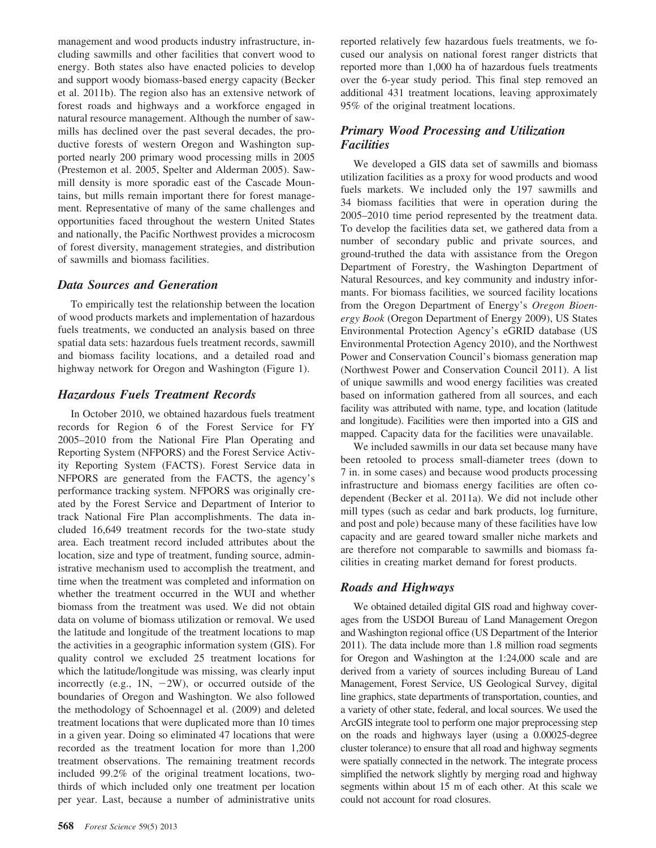management and wood products industry infrastructure, including sawmills and other facilities that convert wood to energy. Both states also have enacted policies to develop and support woody biomass-based energy capacity (Becker et al. 2011b). The region also has an extensive network of forest roads and highways and a workforce engaged in natural resource management. Although the number of sawmills has declined over the past several decades, the productive forests of western Oregon and Washington supported nearly 200 primary wood processing mills in 2005 (Prestemon et al. 2005, Spelter and Alderman 2005). Sawmill density is more sporadic east of the Cascade Mountains, but mills remain important there for forest management. Representative of many of the same challenges and opportunities faced throughout the western United States and nationally, the Pacific Northwest provides a microcosm of forest diversity, management strategies, and distribution of sawmills and biomass facilities.

#### *Data Sources and Generation*

To empirically test the relationship between the location of wood products markets and implementation of hazardous fuels treatments, we conducted an analysis based on three spatial data sets: hazardous fuels treatment records, sawmill and biomass facility locations, and a detailed road and highway network for Oregon and Washington (Figure 1).

#### *Hazardous Fuels Treatment Records*

In October 2010, we obtained hazardous fuels treatment records for Region 6 of the Forest Service for FY 2005–2010 from the National Fire Plan Operating and Reporting System (NFPORS) and the Forest Service Activity Reporting System (FACTS). Forest Service data in NFPORS are generated from the FACTS, the agency's performance tracking system. NFPORS was originally created by the Forest Service and Department of Interior to track National Fire Plan accomplishments. The data included 16,649 treatment records for the two-state study area. Each treatment record included attributes about the location, size and type of treatment, funding source, administrative mechanism used to accomplish the treatment, and time when the treatment was completed and information on whether the treatment occurred in the WUI and whether biomass from the treatment was used. We did not obtain data on volume of biomass utilization or removal. We used the latitude and longitude of the treatment locations to map the activities in a geographic information system (GIS). For quality control we excluded 25 treatment locations for which the latitude/longitude was missing, was clearly input incorrectly (e.g.,  $1N$ ,  $-2W$ ), or occurred outside of the boundaries of Oregon and Washington. We also followed the methodology of Schoennagel et al. (2009) and deleted treatment locations that were duplicated more than 10 times in a given year. Doing so eliminated 47 locations that were recorded as the treatment location for more than 1,200 treatment observations. The remaining treatment records included 99.2% of the original treatment locations, twothirds of which included only one treatment per location per year. Last, because a number of administrative units

reported relatively few hazardous fuels treatments, we focused our analysis on national forest ranger districts that reported more than 1,000 ha of hazardous fuels treatments over the 6-year study period. This final step removed an additional 431 treatment locations, leaving approximately 95% of the original treatment locations.

#### *Primary Wood Processing and Utilization Facilities*

We developed a GIS data set of sawmills and biomass utilization facilities as a proxy for wood products and wood fuels markets. We included only the 197 sawmills and 34 biomass facilities that were in operation during the 2005–2010 time period represented by the treatment data. To develop the facilities data set, we gathered data from a number of secondary public and private sources, and ground-truthed the data with assistance from the Oregon Department of Forestry, the Washington Department of Natural Resources, and key community and industry informants. For biomass facilities, we sourced facility locations from the Oregon Department of Energy's *Oregon Bioenergy Book* (Oregon Department of Energy 2009), US States Environmental Protection Agency's eGRID database (US Environmental Protection Agency 2010), and the Northwest Power and Conservation Council's biomass generation map (Northwest Power and Conservation Council 2011). A list of unique sawmills and wood energy facilities was created based on information gathered from all sources, and each facility was attributed with name, type, and location (latitude and longitude). Facilities were then imported into a GIS and mapped. Capacity data for the facilities were unavailable.

We included sawmills in our data set because many have been retooled to process small-diameter trees (down to 7 in. in some cases) and because wood products processing infrastructure and biomass energy facilities are often codependent (Becker et al. 2011a). We did not include other mill types (such as cedar and bark products, log furniture, and post and pole) because many of these facilities have low capacity and are geared toward smaller niche markets and are therefore not comparable to sawmills and biomass facilities in creating market demand for forest products.

#### *Roads and Highways*

We obtained detailed digital GIS road and highway coverages from the USDOI Bureau of Land Management Oregon and Washington regional office (US Department of the Interior 2011). The data include more than 1.8 million road segments for Oregon and Washington at the 1:24,000 scale and are derived from a variety of sources including Bureau of Land Management, Forest Service, US Geological Survey, digital line graphics, state departments of transportation, counties, and a variety of other state, federal, and local sources. We used the ArcGIS integrate tool to perform one major preprocessing step on the roads and highways layer (using a 0.00025-degree cluster tolerance) to ensure that all road and highway segments were spatially connected in the network. The integrate process simplified the network slightly by merging road and highway segments within about 15 m of each other. At this scale we could not account for road closures.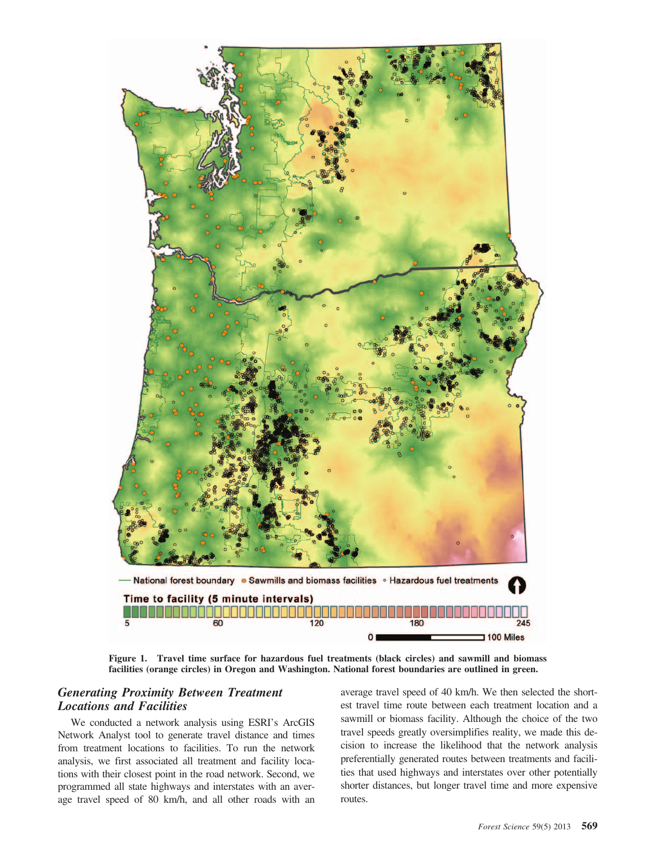

**Figure 1. Travel time surface for hazardous fuel treatments (black circles) and sawmill and biomass facilities (orange circles) in Oregon and Washington. National forest boundaries are outlined in green.**

### *Generating Proximity Between Treatment Locations and Facilities*

We conducted a network analysis using ESRI's ArcGIS Network Analyst tool to generate travel distance and times from treatment locations to facilities. To run the network analysis, we first associated all treatment and facility locations with their closest point in the road network. Second, we programmed all state highways and interstates with an average travel speed of 80 km/h, and all other roads with an

average travel speed of 40 km/h. We then selected the shortest travel time route between each treatment location and a sawmill or biomass facility. Although the choice of the two travel speeds greatly oversimplifies reality, we made this decision to increase the likelihood that the network analysis preferentially generated routes between treatments and facilities that used highways and interstates over other potentially shorter distances, but longer travel time and more expensive routes.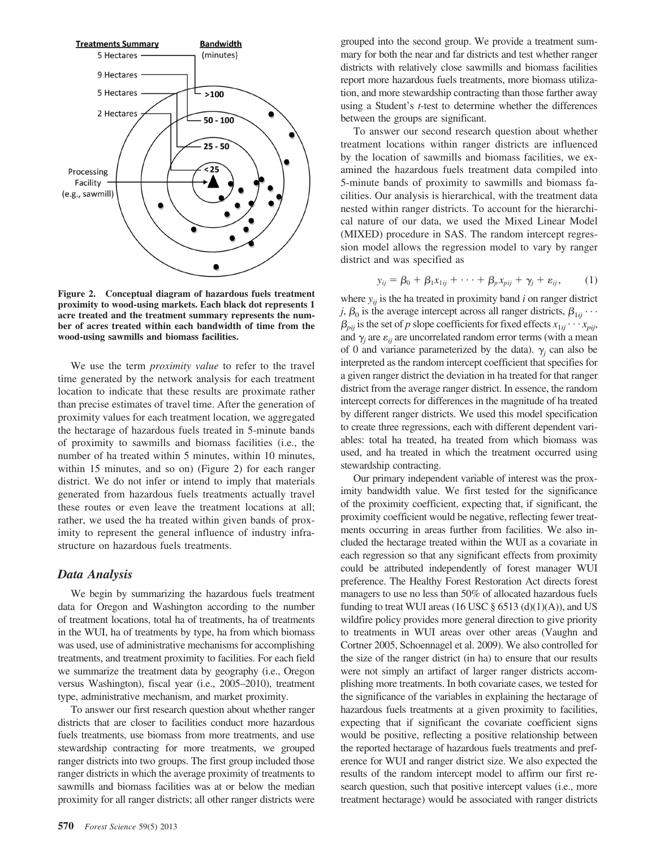

**Figure 2. Conceptual diagram of hazardous fuels treatment proximity to wood-using markets. Each black dot represents 1 acre treated and the treatment summary represents the number of acres treated within each bandwidth of time from the wood-using sawmills and biomass facilities.**

We use the term *proximity value* to refer to the travel time generated by the network analysis for each treatment location to indicate that these results are proximate rather than precise estimates of travel time. After the generation of proximity values for each treatment location, we aggregated the hectarage of hazardous fuels treated in 5-minute bands of proximity to sawmills and biomass facilities (i.e., the number of ha treated within 5 minutes, within 10 minutes, within 15 minutes, and so on) (Figure 2) for each ranger district. We do not infer or intend to imply that materials generated from hazardous fuels treatments actually travel these routes or even leave the treatment locations at all; rather, we used the ha treated within given bands of proximity to represent the general influence of industry infrastructure on hazardous fuels treatments.

#### *Data Analysis*

We begin by summarizing the hazardous fuels treatment data for Oregon and Washington according to the number of treatment locations, total ha of treatments, ha of treatments in the WUI, ha of treatments by type, ha from which biomass was used, use of administrative mechanisms for accomplishing treatments, and treatment proximity to facilities. For each field we summarize the treatment data by geography (i.e., Oregon versus Washington), fiscal year (i.e., 2005–2010), treatment type, administrative mechanism, and market proximity.

To answer our first research question about whether ranger districts that are closer to facilities conduct more hazardous fuels treatments, use biomass from more treatments, and use stewardship contracting for more treatments, we grouped ranger districts into two groups. The first group included those ranger districts in which the average proximity of treatments to sawmills and biomass facilities was at or below the median proximity for all ranger districts; all other ranger districts were grouped into the second group. We provide a treatment summary for both the near and far districts and test whether ranger districts with relatively close sawmills and biomass facilities report more hazardous fuels treatments, more biomass utilization, and more stewardship contracting than those farther away using a Student's *t*-test to determine whether the differences between the groups are significant.

To answer our second research question about whether treatment locations within ranger districts are influenced by the location of sawmills and biomass facilities, we examined the hazardous fuels treatment data compiled into 5-minute bands of proximity to sawmills and biomass facilities. Our analysis is hierarchical, with the treatment data nested within ranger districts. To account for the hierarchical nature of our data, we used the Mixed Linear Model (MIXED) procedure in SAS. The random intercept regression model allows the regression model to vary by ranger district and was specified as

$$
y_{ij} = \beta_0 + \beta_1 x_{1ij} + \cdots + \beta_p x_{pi} + \gamma_j + \varepsilon_{ij}, \qquad (1)
$$

where  $y_{ij}$  is the ha treated in proximity band *i* on ranger district *j*,  $\beta_0$  is the average intercept across all ranger districts,  $\beta_{1ij}$ ...  $\beta_{pij}$  is the set of *p* slope coefficients for fixed effects  $x_{1ij} \cdots x_{pij}$ , and  $\gamma_i$  are  $\varepsilon_{ij}$  are uncorrelated random error terms (with a mean of 0 and variance parameterized by the data).  $\gamma$  can also be interpreted as the random intercept coefficient that specifies for a given ranger district the deviation in ha treated for that ranger district from the average ranger district. In essence, the random intercept corrects for differences in the magnitude of ha treated by different ranger districts. We used this model specification to create three regressions, each with different dependent variables: total ha treated, ha treated from which biomass was used, and ha treated in which the treatment occurred using stewardship contracting.

Our primary independent variable of interest was the proximity bandwidth value. We first tested for the significance of the proximity coefficient, expecting that, if significant, the proximity coefficient would be negative, reflecting fewer treatments occurring in areas further from facilities. We also included the hectarage treated within the WUI as a covariate in each regression so that any significant effects from proximity could be attributed independently of forest manager WUI preference. The Healthy Forest Restoration Act directs forest managers to use no less than 50% of allocated hazardous fuels funding to treat WUI areas (16 USC  $\S$  6513 (d)(1)(A)), and US wildfire policy provides more general direction to give priority to treatments in WUI areas over other areas (Vaughn and Cortner 2005, Schoennagel et al. 2009). We also controlled for the size of the ranger district (in ha) to ensure that our results were not simply an artifact of larger ranger districts accomplishing more treatments. In both covariate cases, we tested for the significance of the variables in explaining the hectarage of hazardous fuels treatments at a given proximity to facilities, expecting that if significant the covariate coefficient signs would be positive, reflecting a positive relationship between the reported hectarage of hazardous fuels treatments and preference for WUI and ranger district size. We also expected the results of the random intercept model to affirm our first research question, such that positive intercept values (i.e., more treatment hectarage) would be associated with ranger districts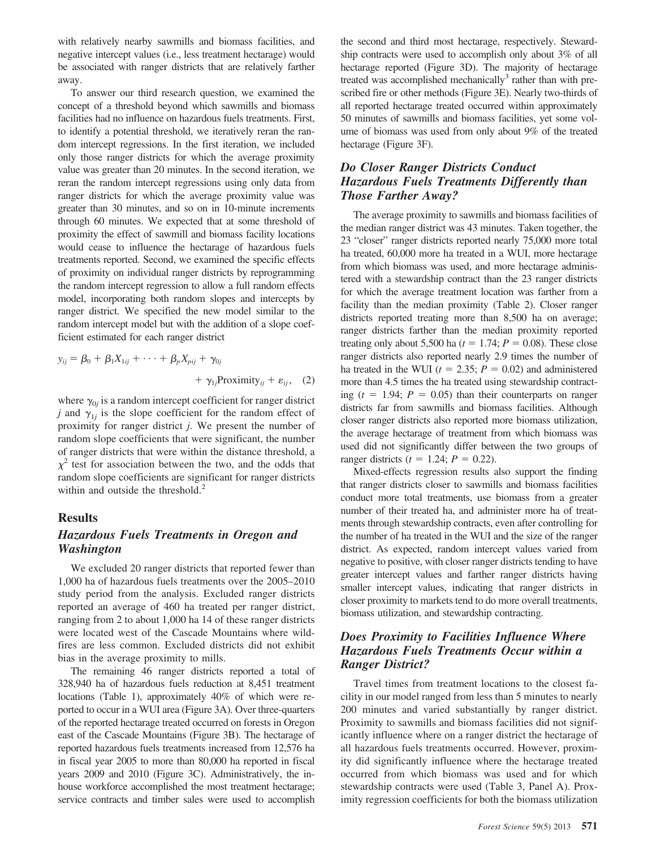with relatively nearby sawmills and biomass facilities, and negative intercept values (i.e., less treatment hectarage) would be associated with ranger districts that are relatively farther away.

To answer our third research question, we examined the concept of a threshold beyond which sawmills and biomass facilities had no influence on hazardous fuels treatments. First, to identify a potential threshold, we iteratively reran the random intercept regressions. In the first iteration, we included only those ranger districts for which the average proximity value was greater than 20 minutes. In the second iteration, we reran the random intercept regressions using only data from ranger districts for which the average proximity value was greater than 30 minutes, and so on in 10-minute increments through 60 minutes. We expected that at some threshold of proximity the effect of sawmill and biomass facility locations would cease to influence the hectarage of hazardous fuels treatments reported. Second, we examined the specific effects of proximity on individual ranger districts by reprogramming the random intercept regression to allow a full random effects model, incorporating both random slopes and intercepts by ranger district. We specified the new model similar to the random intercept model but with the addition of a slope coefficient estimated for each ranger district

$$
y_{ij} = \beta_0 + \beta_1 X_{1ij} + \dots + \beta_p X_{pij} + \gamma_{0j} + \gamma_{1j} \text{Proximity}_{ij} + \varepsilon_{ij}, \quad (2)
$$

where  $\gamma_{0i}$  is a random intercept coefficient for ranger district *j* and  $\gamma_{1i}$  is the slope coefficient for the random effect of proximity for ranger district *j*. We present the number of random slope coefficients that were significant, the number of ranger districts that were within the distance threshold, a  $\chi^2$  test for association between the two, and the odds that random slope coefficients are significant for ranger districts within and outside the threshold.<sup>2</sup>

#### **Results**

### *Hazardous Fuels Treatments in Oregon and Washington*

We excluded 20 ranger districts that reported fewer than 1,000 ha of hazardous fuels treatments over the 2005–2010 study period from the analysis. Excluded ranger districts reported an average of 460 ha treated per ranger district, ranging from 2 to about 1,000 ha 14 of these ranger districts were located west of the Cascade Mountains where wildfires are less common. Excluded districts did not exhibit bias in the average proximity to mills.

The remaining 46 ranger districts reported a total of 328,940 ha of hazardous fuels reduction at 8,451 treatment locations (Table 1), approximately 40% of which were reported to occur in a WUI area (Figure 3A). Over three-quarters of the reported hectarage treated occurred on forests in Oregon east of the Cascade Mountains (Figure 3B). The hectarage of reported hazardous fuels treatments increased from 12,576 ha in fiscal year 2005 to more than 80,000 ha reported in fiscal years 2009 and 2010 (Figure 3C). Administratively, the inhouse workforce accomplished the most treatment hectarage; service contracts and timber sales were used to accomplish

the second and third most hectarage, respectively. Stewardship contracts were used to accomplish only about 3% of all hectarage reported (Figure 3D). The majority of hectarage treated was accomplished mechanically<sup>3</sup> rather than with prescribed fire or other methods (Figure 3E). Nearly two-thirds of all reported hectarage treated occurred within approximately 50 minutes of sawmills and biomass facilities, yet some volume of biomass was used from only about 9% of the treated hectarage (Figure 3F).

#### *Do Closer Ranger Districts Conduct Hazardous Fuels Treatments Differently than Those Farther Away?*

The average proximity to sawmills and biomass facilities of the median ranger district was 43 minutes. Taken together, the 23 "closer" ranger districts reported nearly 75,000 more total ha treated, 60,000 more ha treated in a WUI, more hectarage from which biomass was used, and more hectarage administered with a stewardship contract than the 23 ranger districts for which the average treatment location was farther from a facility than the median proximity (Table 2). Closer ranger districts reported treating more than 8,500 ha on average; ranger districts farther than the median proximity reported treating only about 5,500 ha  $(t = 1.74; P = 0.08)$ . These close ranger districts also reported nearly 2.9 times the number of ha treated in the WUI ( $t = 2.35$ ;  $P = 0.02$ ) and administered more than 4.5 times the ha treated using stewardship contracting  $(t = 1.94; P = 0.05)$  than their counterparts on ranger districts far from sawmills and biomass facilities. Although closer ranger districts also reported more biomass utilization, the average hectarage of treatment from which biomass was used did not significantly differ between the two groups of ranger districts  $(t = 1.24; P = 0.22)$ .

Mixed-effects regression results also support the finding that ranger districts closer to sawmills and biomass facilities conduct more total treatments, use biomass from a greater number of their treated ha, and administer more ha of treatments through stewardship contracts, even after controlling for the number of ha treated in the WUI and the size of the ranger district. As expected, random intercept values varied from negative to positive, with closer ranger districts tending to have greater intercept values and farther ranger districts having smaller intercept values, indicating that ranger districts in closer proximity to markets tend to do more overall treatments, biomass utilization, and stewardship contracting.

### *Does Proximity to Facilities Influence Where Hazardous Fuels Treatments Occur within a Ranger District?*

Travel times from treatment locations to the closest facility in our model ranged from less than 5 minutes to nearly 200 minutes and varied substantially by ranger district. Proximity to sawmills and biomass facilities did not significantly influence where on a ranger district the hectarage of all hazardous fuels treatments occurred. However, proximity did significantly influence where the hectarage treated occurred from which biomass was used and for which stewardship contracts were used (Table 3, Panel A). Proximity regression coefficients for both the biomass utilization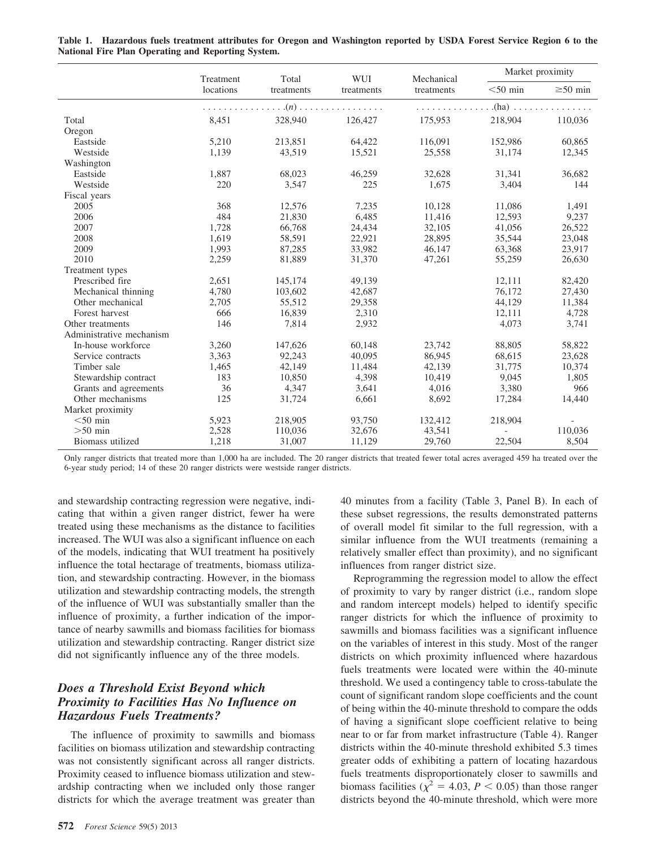|                          |       | Total<br>Treatment<br>locations<br>treatments | WUI<br>treatments | Mechanical<br>treatments | Market proximity |               |
|--------------------------|-------|-----------------------------------------------|-------------------|--------------------------|------------------|---------------|
|                          |       |                                               |                   |                          | $<$ 50 min       | $\geq 50$ min |
|                          |       |                                               | $\dots(n)$        |                          | $(ha)$           |               |
| Total                    | 8,451 | 328,940                                       | 126,427           | 175,953                  | 218,904          | 110.036       |
| Oregon                   |       |                                               |                   |                          |                  |               |
| Eastside                 | 5,210 | 213,851                                       | 64,422            | 116,091                  | 152,986          | 60,865        |
| Westside                 | 1,139 | 43,519                                        | 15,521            | 25,558                   | 31,174           | 12,345        |
| Washington               |       |                                               |                   |                          |                  |               |
| Eastside                 | 1,887 | 68,023                                        | 46,259            | 32,628                   | 31,341           | 36,682        |
| Westside                 | 220   | 3,547                                         | 225               | 1.675                    | 3.404            | 144           |
| Fiscal years             |       |                                               |                   |                          |                  |               |
| 2005                     | 368   | 12,576                                        | 7,235             | 10,128                   | 11,086           | 1,491         |
| 2006                     | 484   | 21,830                                        | 6,485             | 11,416                   | 12,593           | 9,237         |
| 2007                     | 1,728 | 66,768                                        | 24,434            | 32,105                   | 41,056           | 26,522        |
| 2008                     | 1,619 | 58,591                                        | 22,921            | 28,895                   | 35,544           | 23,048        |
| 2009                     | 1,993 | 87,285                                        | 33,982            | 46,147                   | 63,368           | 23,917        |
| 2010                     | 2,259 | 81,889                                        | 31,370            | 47,261                   | 55,259           | 26,630        |
| Treatment types          |       |                                               |                   |                          |                  |               |
| Prescribed fire          | 2,651 | 145,174                                       | 49,139            |                          | 12,111           | 82,420        |
| Mechanical thinning      | 4,780 | 103,602                                       | 42,687            |                          | 76,172           | 27,430        |
| Other mechanical         | 2,705 | 55,512                                        | 29,358            |                          | 44,129           | 11,384        |
| Forest harvest           | 666   | 16,839                                        | 2,310             |                          | 12,111           | 4,728         |
| Other treatments         | 146   | 7,814                                         | 2,932             |                          | 4,073            | 3,741         |
| Administrative mechanism |       |                                               |                   |                          |                  |               |
| In-house workforce       | 3,260 | 147,626                                       | 60,148            | 23,742                   | 88,805           | 58,822        |
| Service contracts        | 3,363 | 92.243                                        | 40.095            | 86,945                   | 68,615           | 23.628        |
| Timber sale              | 1,465 | 42,149                                        | 11,484            | 42,139                   | 31,775           | 10,374        |
| Stewardship contract     | 183   | 10,850                                        | 4,398             | 10,419                   | 9.045            | 1,805         |
| Grants and agreements    | 36    | 4,347                                         | 3,641             | 4,016                    | 3,380            | 966           |
| Other mechanisms         | 125   | 31,724                                        | 6,661             | 8,692                    | 17,284           | 14,440        |
| Market proximity         |       |                                               |                   |                          |                  |               |
| $<$ 50 min               | 5,923 | 218,905                                       | 93,750            | 132,412                  | 218.904          |               |
| $>50$ min                | 2,528 | 110,036                                       | 32,676            | 43,541                   |                  | 110.036       |
| Biomass utilized         | 1,218 | 31,007                                        | 11,129            | 29,760                   | 22,504           | 8,504         |

**Table 1. Hazardous fuels treatment attributes for Oregon and Washington reported by USDA Forest Service Region 6 to the National Fire Plan Operating and Reporting System.**

Only ranger districts that treated more than 1,000 ha are included. The 20 ranger districts that treated fewer total acres averaged 459 ha treated over the 6-year study period; 14 of these 20 ranger districts were westside ranger districts.

and stewardship contracting regression were negative, indicating that within a given ranger district, fewer ha were treated using these mechanisms as the distance to facilities increased. The WUI was also a significant influence on each of the models, indicating that WUI treatment ha positively influence the total hectarage of treatments, biomass utilization, and stewardship contracting. However, in the biomass utilization and stewardship contracting models, the strength of the influence of WUI was substantially smaller than the influence of proximity, a further indication of the importance of nearby sawmills and biomass facilities for biomass utilization and stewardship contracting. Ranger district size did not significantly influence any of the three models.

### *Does a Threshold Exist Beyond which Proximity to Facilities Has No Influence on Hazardous Fuels Treatments?*

The influence of proximity to sawmills and biomass facilities on biomass utilization and stewardship contracting was not consistently significant across all ranger districts. Proximity ceased to influence biomass utilization and stewardship contracting when we included only those ranger districts for which the average treatment was greater than 40 minutes from a facility (Table 3, Panel B). In each of these subset regressions, the results demonstrated patterns of overall model fit similar to the full regression, with a similar influence from the WUI treatments (remaining a relatively smaller effect than proximity), and no significant influences from ranger district size.

Reprogramming the regression model to allow the effect of proximity to vary by ranger district (i.e., random slope and random intercept models) helped to identify specific ranger districts for which the influence of proximity to sawmills and biomass facilities was a significant influence on the variables of interest in this study. Most of the ranger districts on which proximity influenced where hazardous fuels treatments were located were within the 40-minute threshold. We used a contingency table to cross-tabulate the count of significant random slope coefficients and the count of being within the 40-minute threshold to compare the odds of having a significant slope coefficient relative to being near to or far from market infrastructure (Table 4). Ranger districts within the 40-minute threshold exhibited 5.3 times greater odds of exhibiting a pattern of locating hazardous fuels treatments disproportionately closer to sawmills and biomass facilities ( $\chi^2$  = 4.03, *P* < 0.05) than those ranger districts beyond the 40-minute threshold, which were more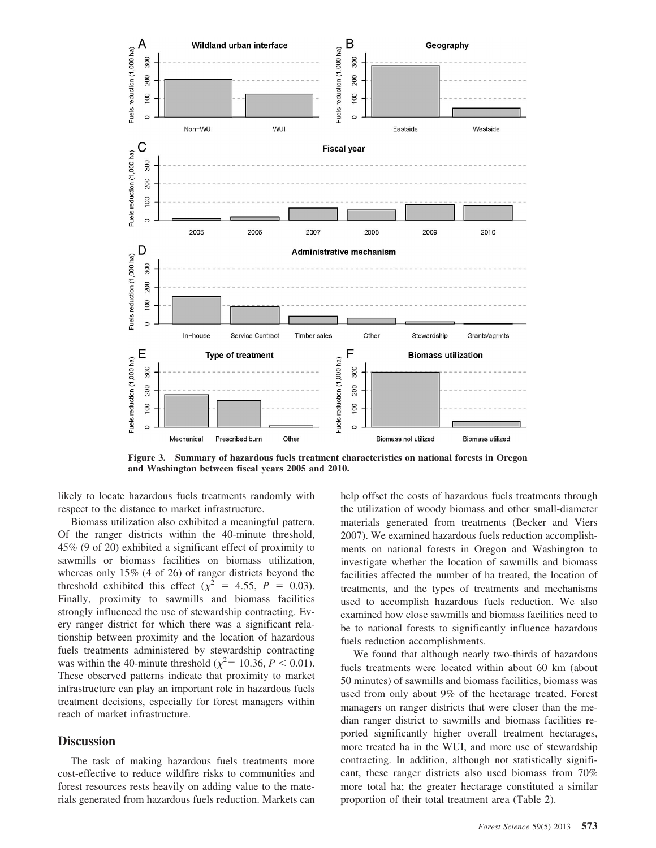

**Figure 3. Summary of hazardous fuels treatment characteristics on national forests in Oregon and Washington between fiscal years 2005 and 2010.**

likely to locate hazardous fuels treatments randomly with respect to the distance to market infrastructure.

Biomass utilization also exhibited a meaningful pattern. Of the ranger districts within the 40-minute threshold, 45% (9 of 20) exhibited a significant effect of proximity to sawmills or biomass facilities on biomass utilization, whereas only 15% (4 of 26) of ranger districts beyond the threshold exhibited this effect ( $\chi^2$  = 4.55, *P* = 0.03). Finally, proximity to sawmills and biomass facilities strongly influenced the use of stewardship contracting. Every ranger district for which there was a significant relationship between proximity and the location of hazardous fuels treatments administered by stewardship contracting was within the 40-minute threshold ( $\chi^2$  = 10.36, *P* < 0.01). These observed patterns indicate that proximity to market infrastructure can play an important role in hazardous fuels treatment decisions, especially for forest managers within reach of market infrastructure.

#### **Discussion**

The task of making hazardous fuels treatments more cost-effective to reduce wildfire risks to communities and forest resources rests heavily on adding value to the materials generated from hazardous fuels reduction. Markets can help offset the costs of hazardous fuels treatments through the utilization of woody biomass and other small-diameter materials generated from treatments (Becker and Viers 2007). We examined hazardous fuels reduction accomplishments on national forests in Oregon and Washington to investigate whether the location of sawmills and biomass facilities affected the number of ha treated, the location of treatments, and the types of treatments and mechanisms used to accomplish hazardous fuels reduction. We also examined how close sawmills and biomass facilities need to be to national forests to significantly influence hazardous fuels reduction accomplishments.

We found that although nearly two-thirds of hazardous fuels treatments were located within about 60 km (about 50 minutes) of sawmills and biomass facilities, biomass was used from only about 9% of the hectarage treated. Forest managers on ranger districts that were closer than the median ranger district to sawmills and biomass facilities reported significantly higher overall treatment hectarages, more treated ha in the WUI, and more use of stewardship contracting. In addition, although not statistically significant, these ranger districts also used biomass from 70% more total ha; the greater hectarage constituted a similar proportion of their total treatment area (Table 2).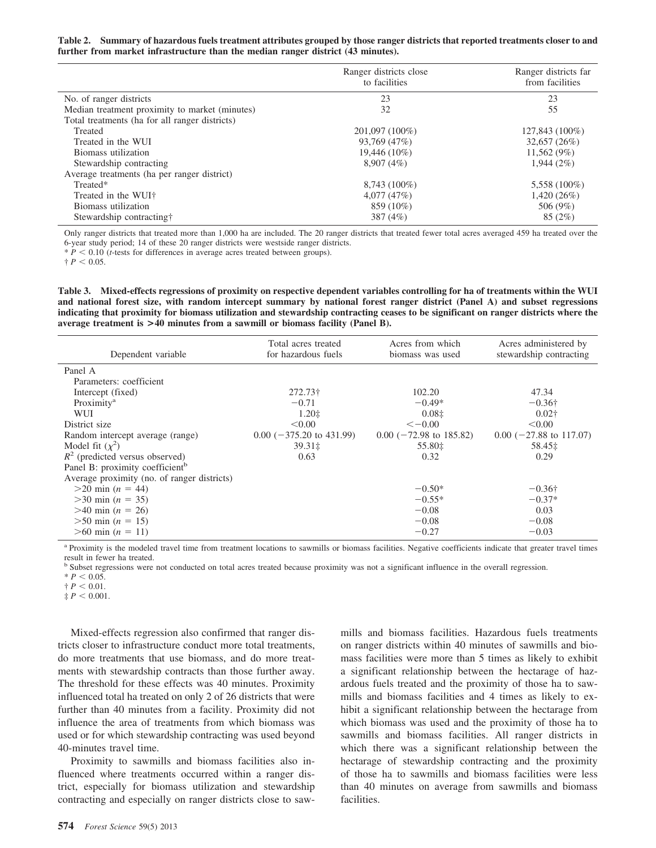#### **Table 2. Summary of hazardous fuels treatment attributes grouped by those ranger districts that reported treatments closer to and further from market infrastructure than the median ranger district (43 minutes).**

|                                                | Ranger districts close<br>to facilities | Ranger districts far<br>from facilities |
|------------------------------------------------|-----------------------------------------|-----------------------------------------|
| No. of ranger districts                        | 23                                      | 23                                      |
| Median treatment proximity to market (minutes) | 32                                      | 55                                      |
| Total treatments (ha for all ranger districts) |                                         |                                         |
| Treated                                        | 201,097 (100%)                          | 127,843 (100%)                          |
| Treated in the WUI                             | 93,769 (47%)                            | 32,657(26%)                             |
| Biomass utilization                            | 19,446 (10%)                            | 11,562(9%)                              |
| Stewardship contracting                        | 8.907(4%)                               | 1.944(2%)                               |
| Average treatments (ha per ranger district)    |                                         |                                         |
| Treated*                                       | 8,743 (100%)                            | 5,558 (100%)                            |
| Treated in the WUI+                            | 4,077(47%)                              | $1,420(26\%)$                           |
| Biomass utilization                            | 859 (10%)                               | 506 (9%)                                |
| Stewardship contracting†                       | 387 (4%)                                | 85(2%)                                  |

Only ranger districts that treated more than 1,000 ha are included. The 20 ranger districts that treated fewer total acres averaged 459 ha treated over the 6-year study period; 14 of these 20 ranger districts were westside ranger districts.

 $* P < 0.10$  (*t*-tests for differences in average acres treated between groups).

 $\dagger P < 0.05$ .

**Table 3. Mixed-effects regressions of proximity on respective dependent variables controlling for ha of treatments within the WUI and national forest size, with random intercept summary by national forest ranger district (Panel A) and subset regressions indicating that proximity for biomass utilization and stewardship contracting ceases to be significant on ranger districts where the average treatment is >40 minutes from a sawmill or biomass facility (Panel B).**

| Dependent variable                          | Total acres treated<br>for hazardous fuels | Acres from which<br>biomass was used | Acres administered by<br>stewardship contracting |
|---------------------------------------------|--------------------------------------------|--------------------------------------|--------------------------------------------------|
| Panel A                                     |                                            |                                      |                                                  |
| Parameters: coefficient                     |                                            |                                      |                                                  |
| Intercept (fixed)                           | 272.73†                                    | 102.20                               | 47.34                                            |
| Proximity <sup>a</sup>                      | $-0.71$                                    | $-0.49*$                             | $-0.36\dagger$                                   |
| <b>WUI</b>                                  | $1.20 \pm$                                 | $0.08\pm$                            | $0.02\dagger$                                    |
| District size                               | < 0.00                                     | $<-0.00$                             | < 0.00                                           |
| Random intercept average (range)            | $0.00$ (-375.20 to 431.99)                 | $0.00$ (-72.98 to 185.82)            | $0.00$ (-27.88 to 117.07)                        |
| Model fit $(\chi^2)$                        | 39.31‡                                     | 55.80‡                               | 58.45‡                                           |
| $R^2$ (predicted versus observed)           | 0.63                                       | 0.32                                 | 0.29                                             |
| Panel B: proximity coefficient <sup>b</sup> |                                            |                                      |                                                  |
| Average proximity (no. of ranger districts) |                                            |                                      |                                                  |
| $>20 \text{ min}$ ( <i>n</i> = 44)          |                                            | $-0.50*$                             | $-0.36\dagger$                                   |
| $>30 \text{ min } (n = 35)$                 |                                            | $-0.55*$                             | $-0.37*$                                         |
| $>40 \text{ min } (n = 26)$                 |                                            | $-0.08$                              | 0.03                                             |
| $>50 \text{ min}$ ( <i>n</i> = 15)          |                                            | $-0.08$                              | $-0.08$                                          |
| $>60$ min $(n = 11)$                        |                                            | $-0.27$                              | $-0.03$                                          |

<sup>a</sup> Proximity is the modeled travel time from treatment locations to sawmills or biomass facilities. Negative coefficients indicate that greater travel times result in fewer ha treated.

<sup>b</sup> Subset regressions were not conducted on total acres treated because proximity was not a significant influence in the overall regression.

 $* P < 0.05.$ 

 $\dagger P < 0.01$ .

 $\ddagger P < 0.001$ .

Mixed-effects regression also confirmed that ranger districts closer to infrastructure conduct more total treatments, do more treatments that use biomass, and do more treatments with stewardship contracts than those further away. The threshold for these effects was 40 minutes. Proximity influenced total ha treated on only 2 of 26 districts that were further than 40 minutes from a facility. Proximity did not influence the area of treatments from which biomass was used or for which stewardship contracting was used beyond 40-minutes travel time.

Proximity to sawmills and biomass facilities also influenced where treatments occurred within a ranger district, especially for biomass utilization and stewardship contracting and especially on ranger districts close to sawmills and biomass facilities. Hazardous fuels treatments on ranger districts within 40 minutes of sawmills and biomass facilities were more than 5 times as likely to exhibit a significant relationship between the hectarage of hazardous fuels treated and the proximity of those ha to sawmills and biomass facilities and 4 times as likely to exhibit a significant relationship between the hectarage from which biomass was used and the proximity of those ha to sawmills and biomass facilities. All ranger districts in which there was a significant relationship between the hectarage of stewardship contracting and the proximity of those ha to sawmills and biomass facilities were less than 40 minutes on average from sawmills and biomass facilities.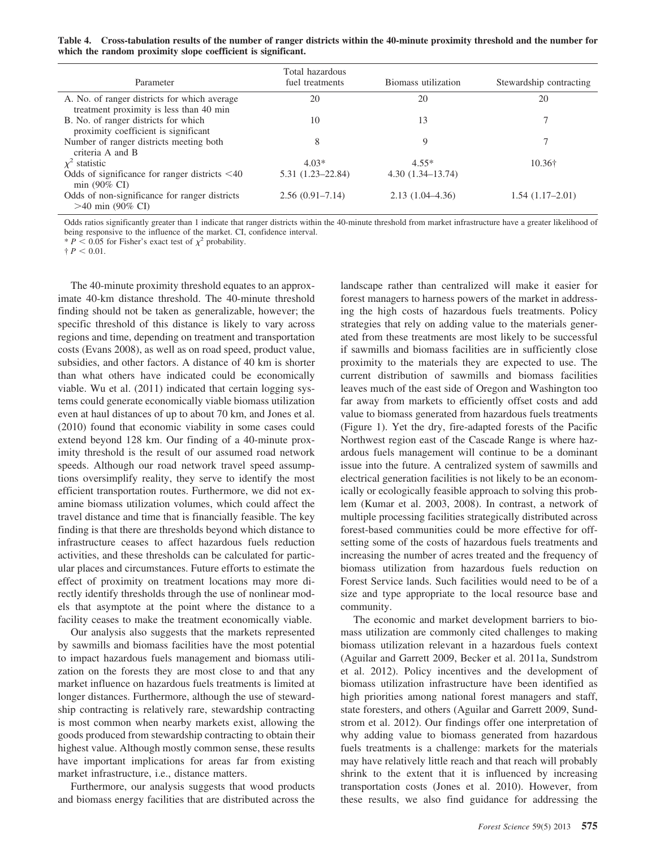**Table 4. Cross-tabulation results of the number of ranger districts within the 40-minute proximity threshold and the number for which the random proximity slope coefficient is significant.**

| Parameter                                                                               | Total hazardous<br>fuel treatments | Biomass utilization  | Stewardship contracting |
|-----------------------------------------------------------------------------------------|------------------------------------|----------------------|-------------------------|
| A. No. of ranger districts for which average<br>treatment proximity is less than 40 min | 20                                 | 20                   | 20                      |
| B. No. of ranger districts for which<br>proximity coefficient is significant            | 10                                 | 13                   |                         |
| Number of ranger districts meeting both<br>criteria A and B                             | 8                                  | 9                    | ┑                       |
| $\chi^2$ statistic                                                                      | $4.03*$                            | $4.55*$              | $10.36\dagger$          |
| Odds of significance for ranger districts $\leq 40$<br>$min(90\% \text{ CI})$           | $5.31(1.23 - 22.84)$               | $4.30(1.34 - 13.74)$ |                         |
| Odds of non-significance for ranger districts<br>$>40$ min (90% CI)                     | $2.56(0.91 - 7.14)$                | $2.13(1.04-4.36)$    | $1.54(1.17-2.01)$       |

Odds ratios significantly greater than 1 indicate that ranger districts within the 40-minute threshold from market infrastructure have a greater likelihood of being responsive to the influence of the market. CI, confidence interval.

 $* P < 0.05$  for Fisher's exact test of  $\chi^2$  probability.

 $\dagger P < 0.01$ .

The 40-minute proximity threshold equates to an approximate 40-km distance threshold. The 40-minute threshold finding should not be taken as generalizable, however; the specific threshold of this distance is likely to vary across regions and time, depending on treatment and transportation costs (Evans 2008), as well as on road speed, product value, subsidies, and other factors. A distance of 40 km is shorter than what others have indicated could be economically viable. Wu et al. (2011) indicated that certain logging systems could generate economically viable biomass utilization even at haul distances of up to about 70 km, and Jones et al. (2010) found that economic viability in some cases could extend beyond 128 km. Our finding of a 40-minute proximity threshold is the result of our assumed road network speeds. Although our road network travel speed assumptions oversimplify reality, they serve to identify the most efficient transportation routes. Furthermore, we did not examine biomass utilization volumes, which could affect the travel distance and time that is financially feasible. The key finding is that there are thresholds beyond which distance to infrastructure ceases to affect hazardous fuels reduction activities, and these thresholds can be calculated for particular places and circumstances. Future efforts to estimate the effect of proximity on treatment locations may more directly identify thresholds through the use of nonlinear models that asymptote at the point where the distance to a facility ceases to make the treatment economically viable.

Our analysis also suggests that the markets represented by sawmills and biomass facilities have the most potential to impact hazardous fuels management and biomass utilization on the forests they are most close to and that any market influence on hazardous fuels treatments is limited at longer distances. Furthermore, although the use of stewardship contracting is relatively rare, stewardship contracting is most common when nearby markets exist, allowing the goods produced from stewardship contracting to obtain their highest value. Although mostly common sense, these results have important implications for areas far from existing market infrastructure, i.e., distance matters.

Furthermore, our analysis suggests that wood products and biomass energy facilities that are distributed across the landscape rather than centralized will make it easier for forest managers to harness powers of the market in addressing the high costs of hazardous fuels treatments. Policy strategies that rely on adding value to the materials generated from these treatments are most likely to be successful if sawmills and biomass facilities are in sufficiently close proximity to the materials they are expected to use. The current distribution of sawmills and biomass facilities leaves much of the east side of Oregon and Washington too far away from markets to efficiently offset costs and add value to biomass generated from hazardous fuels treatments (Figure 1). Yet the dry, fire-adapted forests of the Pacific Northwest region east of the Cascade Range is where hazardous fuels management will continue to be a dominant issue into the future. A centralized system of sawmills and electrical generation facilities is not likely to be an economically or ecologically feasible approach to solving this problem (Kumar et al. 2003, 2008). In contrast, a network of multiple processing facilities strategically distributed across forest-based communities could be more effective for offsetting some of the costs of hazardous fuels treatments and increasing the number of acres treated and the frequency of biomass utilization from hazardous fuels reduction on Forest Service lands. Such facilities would need to be of a size and type appropriate to the local resource base and community.

The economic and market development barriers to biomass utilization are commonly cited challenges to making biomass utilization relevant in a hazardous fuels context (Aguilar and Garrett 2009, Becker et al. 2011a, Sundstrom et al. 2012). Policy incentives and the development of biomass utilization infrastructure have been identified as high priorities among national forest managers and staff, state foresters, and others (Aguilar and Garrett 2009, Sundstrom et al. 2012). Our findings offer one interpretation of why adding value to biomass generated from hazardous fuels treatments is a challenge: markets for the materials may have relatively little reach and that reach will probably shrink to the extent that it is influenced by increasing transportation costs (Jones et al. 2010). However, from these results, we also find guidance for addressing the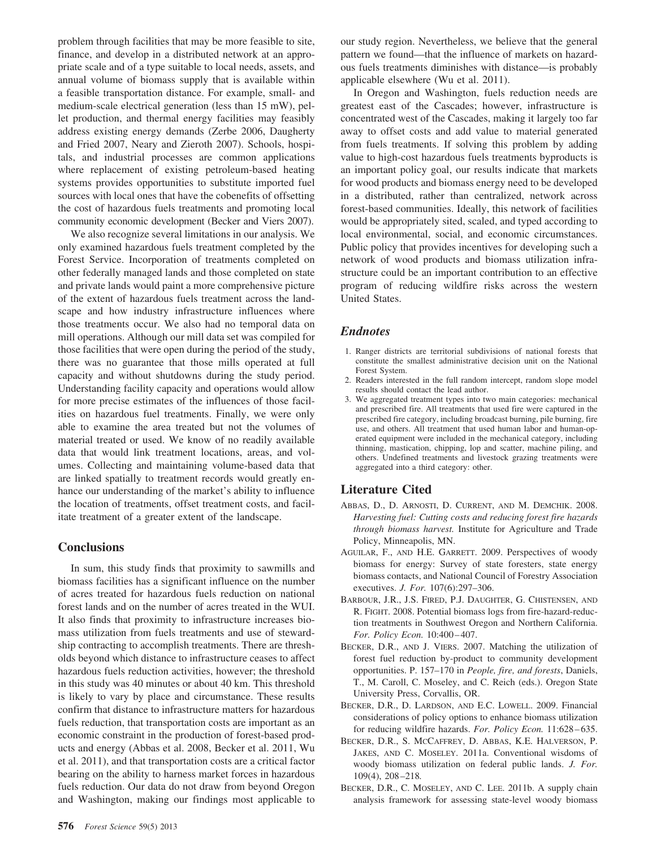problem through facilities that may be more feasible to site, finance, and develop in a distributed network at an appropriate scale and of a type suitable to local needs, assets, and annual volume of biomass supply that is available within a feasible transportation distance. For example, small- and medium-scale electrical generation (less than 15 mW), pellet production, and thermal energy facilities may feasibly address existing energy demands (Zerbe 2006, Daugherty and Fried 2007, Neary and Zieroth 2007). Schools, hospitals, and industrial processes are common applications where replacement of existing petroleum-based heating systems provides opportunities to substitute imported fuel sources with local ones that have the cobenefits of offsetting the cost of hazardous fuels treatments and promoting local community economic development (Becker and Viers 2007).

We also recognize several limitations in our analysis. We only examined hazardous fuels treatment completed by the Forest Service. Incorporation of treatments completed on other federally managed lands and those completed on state and private lands would paint a more comprehensive picture of the extent of hazardous fuels treatment across the landscape and how industry infrastructure influences where those treatments occur. We also had no temporal data on mill operations. Although our mill data set was compiled for those facilities that were open during the period of the study, there was no guarantee that those mills operated at full capacity and without shutdowns during the study period. Understanding facility capacity and operations would allow for more precise estimates of the influences of those facilities on hazardous fuel treatments. Finally, we were only able to examine the area treated but not the volumes of material treated or used. We know of no readily available data that would link treatment locations, areas, and volumes. Collecting and maintaining volume-based data that are linked spatially to treatment records would greatly enhance our understanding of the market's ability to influence the location of treatments, offset treatment costs, and facilitate treatment of a greater extent of the landscape.

#### **Conclusions**

In sum, this study finds that proximity to sawmills and biomass facilities has a significant influence on the number of acres treated for hazardous fuels reduction on national forest lands and on the number of acres treated in the WUI. It also finds that proximity to infrastructure increases biomass utilization from fuels treatments and use of stewardship contracting to accomplish treatments. There are thresholds beyond which distance to infrastructure ceases to affect hazardous fuels reduction activities, however; the threshold in this study was 40 minutes or about 40 km. This threshold is likely to vary by place and circumstance. These results confirm that distance to infrastructure matters for hazardous fuels reduction, that transportation costs are important as an economic constraint in the production of forest-based products and energy (Abbas et al. 2008, Becker et al. 2011, Wu et al. 2011), and that transportation costs are a critical factor bearing on the ability to harness market forces in hazardous fuels reduction. Our data do not draw from beyond Oregon and Washington, making our findings most applicable to

our study region. Nevertheless, we believe that the general pattern we found—that the influence of markets on hazardous fuels treatments diminishes with distance—is probably applicable elsewhere (Wu et al. 2011).

In Oregon and Washington, fuels reduction needs are greatest east of the Cascades; however, infrastructure is concentrated west of the Cascades, making it largely too far away to offset costs and add value to material generated from fuels treatments. If solving this problem by adding value to high-cost hazardous fuels treatments byproducts is an important policy goal, our results indicate that markets for wood products and biomass energy need to be developed in a distributed, rather than centralized, network across forest-based communities. Ideally, this network of facilities would be appropriately sited, scaled, and typed according to local environmental, social, and economic circumstances. Public policy that provides incentives for developing such a network of wood products and biomass utilization infrastructure could be an important contribution to an effective program of reducing wildfire risks across the western United States.

### *Endnotes*

- 1. Ranger districts are territorial subdivisions of national forests that constitute the smallest administrative decision unit on the National Forest System.
- 2. Readers interested in the full random intercept, random slope model results should contact the lead author.
- 3. We aggregated treatment types into two main categories: mechanical and prescribed fire. All treatments that used fire were captured in the prescribed fire category, including broadcast burning, pile burning, fire use, and others. All treatment that used human labor and human-operated equipment were included in the mechanical category, including thinning, mastication, chipping, lop and scatter, machine piling, and others. Undefined treatments and livestock grazing treatments were aggregated into a third category: other.

### **Literature Cited**

- ABBAS, D., D. ARNOSTI, D. CURRENT, AND M. DEMCHIK. 2008. *Harvesting fuel: Cutting costs and reducing forest fire hazards through biomass harvest.* Institute for Agriculture and Trade Policy, Minneapolis, MN.
- AGUILAR, F., AND H.E. GARRETT. 2009. Perspectives of woody biomass for energy: Survey of state foresters, state energy biomass contacts, and National Council of Forestry Association executives. *J. For.* 107(6):297–306.
- BARBOUR, J.R., J.S. FIRED, P.J. DAUGHTER, G. CHISTENSEN, AND R. FIGHT. 2008. Potential biomass logs from fire-hazard-reduction treatments in Southwest Oregon and Northern California. *For. Policy Econ.* 10:400 – 407.
- BECKER, D.R., AND J. VIERS. 2007. Matching the utilization of forest fuel reduction by-product to community development opportunities. P. 157–170 in *People, fire, and forests*, Daniels, T., M. Caroll, C. Moseley, and C. Reich (eds.). Oregon State University Press, Corvallis, OR.
- BECKER, D.R., D. LARDSON, AND E.C. LOWELL. 2009. Financial considerations of policy options to enhance biomass utilization for reducing wildfire hazards. *For. Policy Econ.* 11:628–635.
- BECKER, D.R., S. MCCAFFREY, D. ABBAS, K.E. HALVERSON, P. JAKES, AND C. MOSELEY. 2011a. Conventional wisdoms of woody biomass utilization on federal public lands. *J. For.* 109(4), 208 –218*.*
- BECKER, D.R., C. MOSELEY, AND C. LEE. 2011b. A supply chain analysis framework for assessing state-level woody biomass